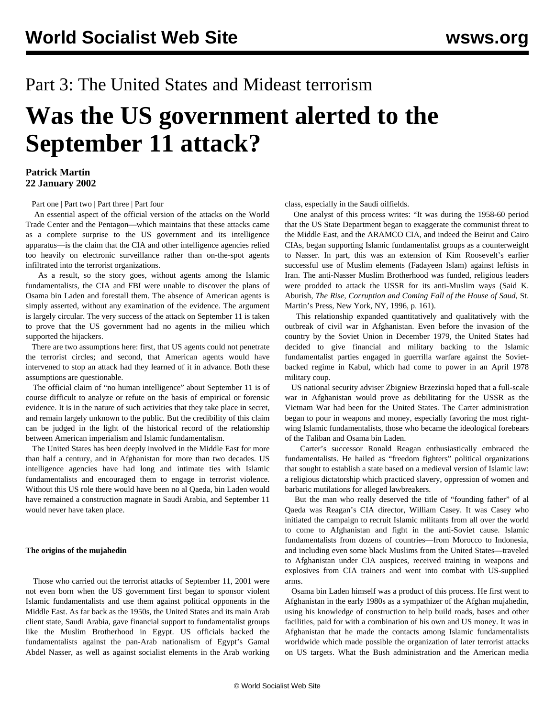## Part 3: The United States and Mideast terrorism

# **Was the US government alerted to the September 11 attack?**

#### **Patrick Martin 22 January 2002**

[Part one](/en/articles/2002/01/sept-j16.html) | [Part two](/en/articles/2002/01/sept-j18.html) | [Part three](/en/articles/2002/01/sept-j22.html) | [Part four](/en/articles/2002/01/sept-j24.html)

 An essential aspect of the official version of the attacks on the World Trade Center and the Pentagon—which maintains that these attacks came as a complete surprise to the US government and its intelligence apparatus—is the claim that the CIA and other intelligence agencies relied too heavily on electronic surveillance rather than on-the-spot agents infiltrated into the terrorist organizations.

 As a result, so the story goes, without agents among the Islamic fundamentalists, the CIA and FBI were unable to discover the plans of Osama bin Laden and forestall them. The absence of American agents is simply asserted, without any examination of the evidence. The argument is largely circular. The very success of the attack on September 11 is taken to prove that the US government had no agents in the milieu which supported the hijackers.

 There are two assumptions here: first, that US agents could not penetrate the terrorist circles; and second, that American agents would have intervened to stop an attack had they learned of it in advance. Both these assumptions are questionable.

 The official claim of "no human intelligence" about September 11 is of course difficult to analyze or refute on the basis of empirical or forensic evidence. It is in the nature of such activities that they take place in secret, and remain largely unknown to the public. But the credibility of this claim can be judged in the light of the historical record of the relationship between American imperialism and Islamic fundamentalism.

 The United States has been deeply involved in the Middle East for more than half a century, and in Afghanistan for more than two decades. US intelligence agencies have had long and intimate ties with Islamic fundamentalists and encouraged them to engage in terrorist violence. Without this US role there would have been no al Qaeda, bin Laden would have remained a construction magnate in Saudi Arabia, and September 11 would never have taken place.

#### **The origins of the mujahedin**

 Those who carried out the terrorist attacks of September 11, 2001 were not even born when the US government first began to sponsor violent Islamic fundamentalists and use them against political opponents in the Middle East. As far back as the 1950s, the United States and its main Arab client state, Saudi Arabia, gave financial support to fundamentalist groups like the Muslim Brotherhood in Egypt. US officials backed the fundamentalists against the pan-Arab nationalism of Egypt's Gamal Abdel Nasser, as well as against socialist elements in the Arab working class, especially in the Saudi oilfields.

 One analyst of this process writes: "It was during the 1958-60 period that the US State Department began to exaggerate the communist threat to the Middle East, and the ARAMCO CIA, and indeed the Beirut and Cairo CIAs, began supporting Islamic fundamentalist groups as a counterweight to Nasser. In part, this was an extension of Kim Roosevelt's earlier successful use of Muslim elements (Fadayeen Islam) against leftists in Iran. The anti-Nasser Muslim Brotherhood was funded, religious leaders were prodded to attack the USSR for its anti-Muslim ways (Said K. Aburish, *The Rise, Corruption and Coming Fall of the House of Saud*, St. Martin's Press, New York, NY, 1996, p. 161).

 This relationship expanded quantitatively and qualitatively with the outbreak of civil war in Afghanistan. Even before the invasion of the country by the Soviet Union in December 1979, the United States had decided to give financial and military backing to the Islamic fundamentalist parties engaged in guerrilla warfare against the Sovietbacked regime in Kabul, which had come to power in an April 1978 military coup.

 US national security adviser Zbigniew Brzezinski hoped that a full-scale war in Afghanistan would prove as debilitating for the USSR as the Vietnam War had been for the United States. The Carter administration began to pour in weapons and money, especially favoring the most rightwing Islamic fundamentalists, those who became the ideological forebears of the Taliban and Osama bin Laden.

 Carter's successor Ronald Reagan enthusiastically embraced the fundamentalists. He hailed as "freedom fighters" political organizations that sought to establish a state based on a medieval version of Islamic law: a religious dictatorship which practiced slavery, oppression of women and barbaric mutilations for alleged lawbreakers.

 But the man who really deserved the title of "founding father" of al Qaeda was Reagan's CIA director, William Casey. It was Casey who initiated the campaign to recruit Islamic militants from all over the world to come to Afghanistan and fight in the anti-Soviet cause. Islamic fundamentalists from dozens of countries—from Morocco to Indonesia, and including even some black Muslims from the United States—traveled to Afghanistan under CIA auspices, received training in weapons and explosives from CIA trainers and went into combat with US-supplied arms.

 Osama bin Laden himself was a product of this process. He first went to Afghanistan in the early 1980s as a sympathizer of the Afghan mujahedin, using his knowledge of construction to help build roads, bases and other facilities, paid for with a combination of his own and US money. It was in Afghanistan that he made the contacts among Islamic fundamentalists worldwide which made possible the organization of later terrorist attacks on US targets. What the Bush administration and the American media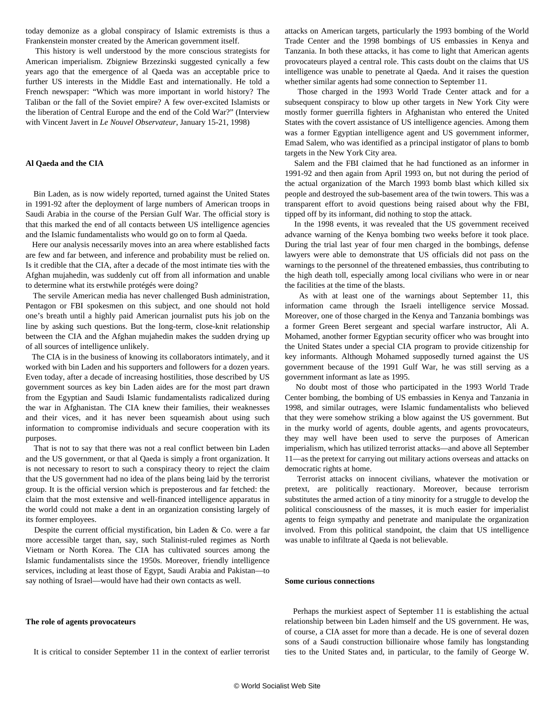today demonize as a global conspiracy of Islamic extremists is thus a Frankenstein monster created by the American government itself.

 This history is well understood by the more conscious strategists for American imperialism. Zbigniew Brzezinski suggested cynically a few years ago that the emergence of al Qaeda was an acceptable price to further US interests in the Middle East and internationally. He told a French newspaper: "Which was more important in world history? The Taliban or the fall of the Soviet empire? A few over-excited Islamists or the liberation of Central Europe and the end of the Cold War?" (Interview with Vincent Javert in *Le Nouvel Observateur*, January 15-21, 1998)

#### **Al Qaeda and the CIA**

 Bin Laden, as is now widely reported, turned against the United States in 1991-92 after the deployment of large numbers of American troops in Saudi Arabia in the course of the Persian Gulf War. The official story is that this marked the end of all contacts between US intelligence agencies and the Islamic fundamentalists who would go on to form al Qaeda.

 Here our analysis necessarily moves into an area where established facts are few and far between, and inference and probability must be relied on. Is it credible that the CIA, after a decade of the most intimate ties with the Afghan mujahedin, was suddenly cut off from all information and unable to determine what its erstwhile protégés were doing?

 The servile American media has never challenged Bush administration, Pentagon or FBI spokesmen on this subject, and one should not hold one's breath until a highly paid American journalist puts his job on the line by asking such questions. But the long-term, close-knit relationship between the CIA and the Afghan mujahedin makes the sudden drying up of all sources of intelligence unlikely.

 The CIA is in the business of knowing its collaborators intimately, and it worked with bin Laden and his supporters and followers for a dozen years. Even today, after a decade of increasing hostilities, those described by US government sources as key bin Laden aides are for the most part drawn from the Egyptian and Saudi Islamic fundamentalists radicalized during the war in Afghanistan. The CIA knew their families, their weaknesses and their vices, and it has never been squeamish about using such information to compromise individuals and secure cooperation with its purposes.

 That is not to say that there was not a real conflict between bin Laden and the US government, or that al Qaeda is simply a front organization. It is not necessary to resort to such a conspiracy theory to reject the claim that the US government had no idea of the plans being laid by the terrorist group. It is the official version which is preposterous and far fetched: the claim that the most extensive and well-financed intelligence apparatus in the world could not make a dent in an organization consisting largely of its former employees.

 Despite the current official mystification, bin Laden & Co. were a far more accessible target than, say, such Stalinist-ruled regimes as North Vietnam or North Korea. The CIA has cultivated sources among the Islamic fundamentalists since the 1950s. Moreover, friendly intelligence services, including at least those of Egypt, Saudi Arabia and Pakistan—to say nothing of Israel—would have had their own contacts as well.

#### **The role of agents provocateurs**

It is critical to consider September 11 in the context of earlier terrorist

attacks on American targets, particularly the 1993 bombing of the World Trade Center and the 1998 bombings of US embassies in Kenya and Tanzania. In both these attacks, it has come to light that American agents provocateurs played a central role. This casts doubt on the claims that US intelligence was unable to penetrate al Qaeda. And it raises the question whether similar agents had some connection to September 11.

 Those charged in the 1993 World Trade Center attack and for a subsequent conspiracy to blow up other targets in New York City were mostly former guerrilla fighters in Afghanistan who entered the United States with the covert assistance of US intelligence agencies. Among them was a former Egyptian intelligence agent and US government informer, Emad Salem, who was identified as a principal instigator of plans to bomb targets in the New York City area.

 Salem and the FBI claimed that he had functioned as an informer in 1991-92 and then again from April 1993 on, but not during the period of the actual organization of the March 1993 bomb blast which killed six people and destroyed the sub-basement area of the twin towers. This was a transparent effort to avoid questions being raised about why the FBI, tipped off by its informant, did nothing to stop the attack.

 In the 1998 events, it was revealed that the US government received advance warning of the Kenya bombing two weeks before it took place. During the trial last year of four men charged in the bombings, defense lawyers were able to demonstrate that US officials did not pass on the warnings to the personnel of the threatened embassies, thus contributing to the high death toll, especially among local civilians who were in or near the facilities at the time of the blasts.

 As with at least one of the warnings about September 11, this information came through the Israeli intelligence service Mossad. Moreover, one of those charged in the Kenya and Tanzania bombings was a former Green Beret sergeant and special warfare instructor, Ali A. Mohamed, another former Egyptian security officer who was brought into the United States under a special CIA program to provide citizenship for key informants. Although Mohamed supposedly turned against the US government because of the 1991 Gulf War, he was still serving as a government informant as late as 1995.

 No doubt most of those who participated in the 1993 World Trade Center bombing, the bombing of US embassies in Kenya and Tanzania in 1998, and similar outrages, were Islamic fundamentalists who believed that they were somehow striking a blow against the US government. But in the murky world of agents, double agents, and agents provocateurs, they may well have been used to serve the purposes of American imperialism, which has utilized terrorist attacks—and above all September 11—as the pretext for carrying out military actions overseas and attacks on democratic rights at home.

 Terrorist attacks on innocent civilians, whatever the motivation or pretext, are politically reactionary. Moreover, because terrorism substitutes the armed action of a tiny minority for a struggle to develop the political consciousness of the masses, it is much easier for imperialist agents to feign sympathy and penetrate and manipulate the organization involved. From this political standpoint, the claim that US intelligence was unable to infiltrate al Qaeda is not believable.

#### **Some curious connections**

 Perhaps the murkiest aspect of September 11 is establishing the actual relationship between bin Laden himself and the US government. He was, of course, a CIA asset for more than a decade. He is one of several dozen sons of a Saudi construction billionaire whose family has longstanding ties to the United States and, in particular, to the family of George W.